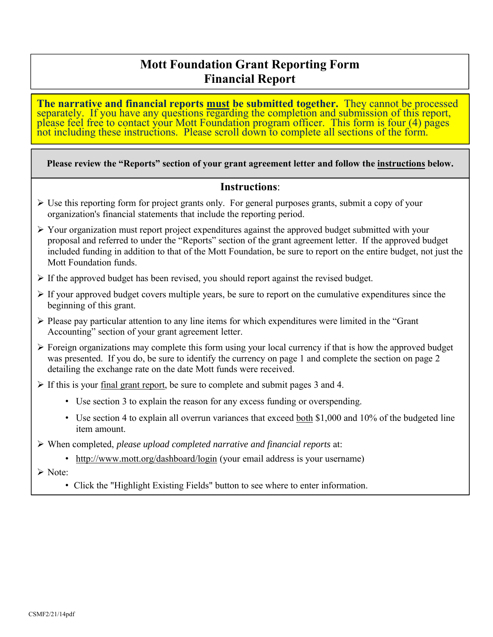## **Mott Foundation Grant Reporting Form Financial Report**

The narrative and financial reports <u>must</u> be submitted together. They cannot be processed separately. If you have any questions regarding the completion and submission of this report, please feel free to contact your Mott

#### **Please review the "Reports" section of your grant agreement letter and follow the instructions below.**

#### **Instructions**:

- $\triangleright$  Use this reporting form for project grants only. For general purposes grants, submit a copy of your organization's financial statements that include the reporting period.
- $\triangleright$  Your organization must report project expenditures against the approved budget submitted with your proposal and referred to under the "Reports" section of the grant agreement letter. If the approved budget included funding in addition to that of the Mott Foundation, be sure to report on the entire budget, not just the Mott Foundation funds.
- $\triangleright$  If the approved budget has been revised, you should report against the revised budget.
- $\triangleright$  If your approved budget covers multiple years, be sure to report on the cumulative expenditures since the beginning of this grant.
- $\triangleright$  Please pay particular attention to any line items for which expenditures were limited in the "Grant" Accounting" section of your grant agreement letter.
- $\triangleright$  Foreign organizations may complete this form using your local currency if that is how the approved budget was presented. If you do, be sure to identify the currency on page 1 and complete the section on page 2 detailing the exchange rate on the date Mott funds were received.
- $\triangleright$  If this is your final grant report, be sure to complete and submit pages 3 and 4.
	- Use section 3 to explain the reason for any excess funding or overspending.
	- Use section 4 to explain all overrun variances that exceed both \$1,000 and 10% of the budgeted line item amount.
- When completed, *please upload completed narrative and financial reports* at:
	- http://www.mott.org/dashboard/login (your email address is your username)

Note:

• Click the "Highlight Existing Fields" button to see where to enter information.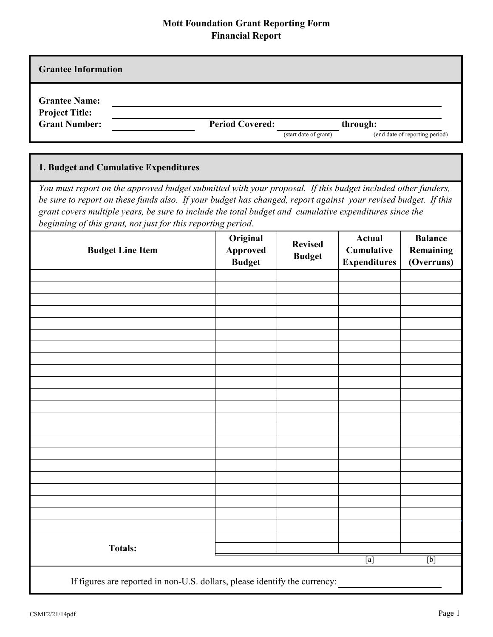### **Mott Foundation Grant Reporting Form Financial Report**

| г шанхнаг гогрог с                                                                                                                                                                                                                                                                                                                                                                                      |                         |                                              |                                 |                                                           |                                           |  |  |
|---------------------------------------------------------------------------------------------------------------------------------------------------------------------------------------------------------------------------------------------------------------------------------------------------------------------------------------------------------------------------------------------------------|-------------------------|----------------------------------------------|---------------------------------|-----------------------------------------------------------|-------------------------------------------|--|--|
| <b>Grantee Information</b>                                                                                                                                                                                                                                                                                                                                                                              |                         |                                              |                                 |                                                           |                                           |  |  |
| <b>Grantee Name:</b><br><b>Project Title:</b><br><b>Grant Number:</b>                                                                                                                                                                                                                                                                                                                                   |                         | <b>Period Covered:</b>                       | (start date of grant)           | through:                                                  | (end date of reporting period)            |  |  |
| 1. Budget and Cumulative Expenditures                                                                                                                                                                                                                                                                                                                                                                   |                         |                                              |                                 |                                                           |                                           |  |  |
| You must report on the approved budget submitted with your proposal. If this budget included other funders,<br>be sure to report on these funds also. If your budget has changed, report against your revised budget. If this<br>grant covers multiple years, be sure to include the total budget and cumulative expenditures since the<br>beginning of this grant, not just for this reporting period. |                         |                                              |                                 |                                                           |                                           |  |  |
|                                                                                                                                                                                                                                                                                                                                                                                                         | <b>Budget Line Item</b> | Original<br><b>Approved</b><br><b>Budget</b> | <b>Revised</b><br><b>Budget</b> | <b>Actual</b><br><b>Cumulative</b><br><b>Expenditures</b> | <b>Balance</b><br>Remaining<br>(Overruns) |  |  |
|                                                                                                                                                                                                                                                                                                                                                                                                         |                         |                                              |                                 |                                                           |                                           |  |  |
|                                                                                                                                                                                                                                                                                                                                                                                                         |                         |                                              |                                 |                                                           |                                           |  |  |
|                                                                                                                                                                                                                                                                                                                                                                                                         |                         |                                              |                                 |                                                           |                                           |  |  |
|                                                                                                                                                                                                                                                                                                                                                                                                         |                         |                                              |                                 |                                                           |                                           |  |  |
|                                                                                                                                                                                                                                                                                                                                                                                                         |                         |                                              |                                 |                                                           |                                           |  |  |
|                                                                                                                                                                                                                                                                                                                                                                                                         |                         |                                              |                                 |                                                           |                                           |  |  |
|                                                                                                                                                                                                                                                                                                                                                                                                         |                         |                                              |                                 |                                                           |                                           |  |  |

If figures are reported in non-U.S. dollars, please identify the currency:

**Totals:** 

[b]

[a]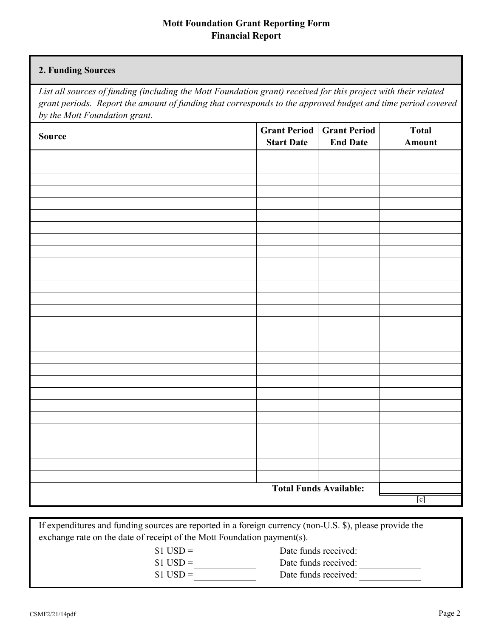#### **Mott Foundation Grant Reporting Form Financial Report**

#### **2. Funding Sources**

*List all sources of funding (including the Mott Foundation grant) received for this project with their related grant periods. Report the amount of funding that corresponds to the approved budget and time period covered by the Mott Foundation grant.*

| Source                        | <b>Start Date</b> | <b>Grant Period</b> Grant Period<br><b>End Date</b> | <b>Total</b><br>Amount |
|-------------------------------|-------------------|-----------------------------------------------------|------------------------|
|                               |                   |                                                     |                        |
|                               |                   |                                                     |                        |
|                               |                   |                                                     |                        |
|                               |                   |                                                     |                        |
|                               |                   |                                                     |                        |
|                               |                   |                                                     |                        |
|                               |                   |                                                     |                        |
|                               |                   |                                                     |                        |
|                               |                   |                                                     |                        |
|                               |                   |                                                     |                        |
|                               |                   |                                                     |                        |
|                               |                   |                                                     |                        |
|                               |                   |                                                     |                        |
|                               |                   |                                                     |                        |
|                               |                   |                                                     |                        |
|                               |                   |                                                     |                        |
|                               |                   |                                                     |                        |
|                               |                   |                                                     |                        |
|                               |                   |                                                     |                        |
|                               |                   |                                                     |                        |
|                               |                   |                                                     |                        |
|                               |                   |                                                     |                        |
|                               |                   |                                                     |                        |
|                               |                   |                                                     |                        |
|                               |                   |                                                     |                        |
|                               |                   |                                                     |                        |
| <b>Total Funds Available:</b> |                   |                                                     |                        |
|                               |                   |                                                     | [c]                    |

If expenditures and funding sources are reported in a foreign currency (non-U.S. \$), please provide the exchange rate on the date of receipt of the Mott Foundation payment(s).

 $$1$  USD =

 $$1$  USD =

- Date funds received: Date funds received:
- Date funds received:  $$1$  USD =
- CSMF2/21/14pdf Page 2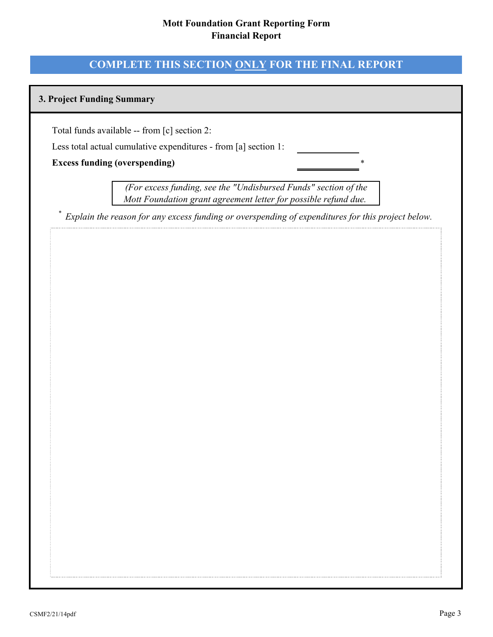#### **Mott Foundation Grant Reporting Form Financial Report**

### **COMPLETE THIS SECTION ONLY FOR THE FINAL REPORT**

#### **3. Project Funding Summary**

Total funds available -- from [c] section 2:

Less total actual cumulative expenditures - from [a] section 1:

#### **Excess funding (overspending)**

 *(For excess funding, see the "Undisbursed Funds" section of the Mott Foundation grant agreement letter for possible refund due.* 

\*

*\* Explain the reason for any excess funding or overspending of expenditures for this project below.*